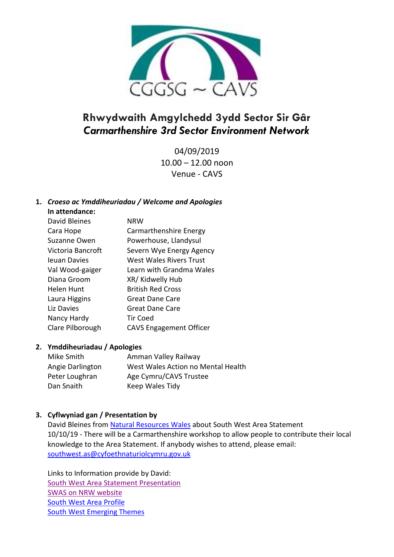

# **Rhwydwaith Amgylchedd 3ydd Sector Sir Gâr** *Carmarthenshire 3rd Sector Environment Network*

04/09/2019 10.00 – 12.00 noon Venue - CAVS

## **1.** *Croeso ac Ymddiheuriadau / Welcome and Apologies*

| In attendance:    |                                |
|-------------------|--------------------------------|
| David Bleines     | NRW                            |
| Cara Hope         | Carmarthenshire Energy         |
| Suzanne Owen      | Powerhouse, Llandysul          |
| Victoria Bancroft | Severn Wye Energy Agency       |
| Jeuan Davies      | West Wales Rivers Trust        |
| Val Wood-gaiger   | Learn with Grandma Wales       |
| Diana Groom       | XR/ Kidwelly Hub               |
| Helen Hunt        | <b>British Red Cross</b>       |
| Laura Higgins     | Great Dane Care                |
| Liz Davies        | Great Dane Care                |
| Nancy Hardy       | <b>Tir Coed</b>                |
| Clare Pilborough  | <b>CAVS Engagement Officer</b> |

### **2. Ymddiheuriadau / Apologies**

| Mike Smith       | Amman Valley Railway               |
|------------------|------------------------------------|
| Angie Darlington | West Wales Action no Mental Health |
| Peter Loughran   | Age Cymru/CAVS Trustee             |
| Dan Snaith       | Keep Wales Tidy                    |

## **3. Cyflwyniad gan / Presentation by**

David Bleines from [Natural Resources Wales](https://naturalresources.wales/?lang=en) about South West Area Statement 10/10/19 - There will be a Carmarthenshire workshop to allow people to contribute their local knowledge to the Area Statement. If anybody wishes to attend, please email: [southwest.as@cyfoethnaturiolcymru.gov.uk](mailto:southwest.as@cyfoethnaturiolcymru.gov.uk)

Links to Information provide by David: [South West Area Statement Presentation](http://www.cavs.org.uk/wp-content/uploads/2019/09/SWAS-Awareness-raising-external-2019.pdf) [SWAS on NRW website](https://naturalresources.wales/about-us/area-statements/south-west-wales-area-statement/?lang=en) [South West Area Profile](http://www.cavs.org.uk/wp-content/uploads/2019/09/South-West-area-profile.pdf) [South West Emerging Themes](http://www.cavs.org.uk/wp-content/uploads/2019/09/SW-emerging-themes.pdf)